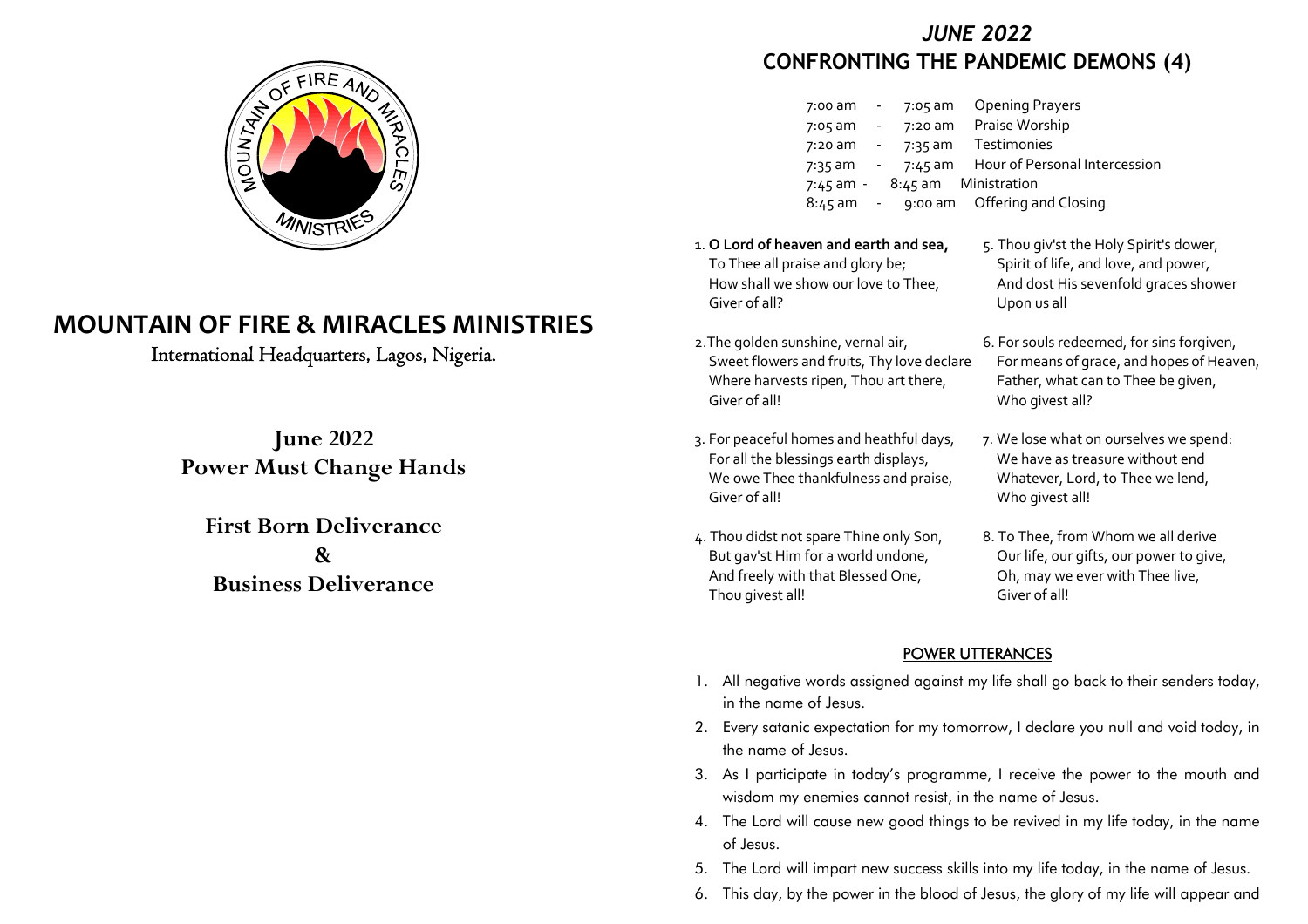

# **MOUNTAIN OF FIRE & MIRACLES MINISTRIES**

International Headquarters, Lagos, Nigeria.

**June 2022Power Must Change Hands**

**First Born Deliverance&Business Deliverance**

## *JUNE 2022***CONFRONTING THE PANDEMIC DEMONS (4)**

| <b>Opening Prayers</b>                 |
|----------------------------------------|
| Praise Worship                         |
| Testimonies                            |
| Hour of Personal Intercession          |
| 7:45 am - 8:45 am Ministration         |
| 8:45 am - 9:00 am Offering and Closing |
|                                        |

- 1. **O Lord of heaven and earth and sea,**To Thee all praise and glory be;How shall we show our love to Thee,Giver of all?
- 2.The golden sunshine, vernal air,Sweet flowers and fruits, Thy love declareWhere harvests ripen, Thou art there,Giver of all!
- 3. For peaceful homes and heathful days,For all the blessings earth displays,We owe Thee thankfulness and praise, Giver of all!
- 4. Thou didst not spare Thine only Son,But gav'st Him for a world undone,And freely with that Blessed One,Thou givest all!
- 5. Thou giv'st the Holy Spirit's dower,Spirit of life, and love, and power,And dost His sevenfold graces showerUpon us all
- 6. For souls redeemed, for sins forgiven,For means of grace, and hopes of Heaven,Father, what can to Thee be given,Who givest all?
- 7. We lose what on ourselves we spend: We have as treasure without end Whatever, Lord, to Thee we lend,Who givest all!
- 8. To Thee, from Whom we all derive Our life, our gifts, our power to give,Oh, may we ever with Thee live,Giver of all!

### POWER UTTERANCES

- 1. All negative words assigned against my life shall go back to their senders today, in the name of Jesus.
- 2. Every satanic expectation for my tomorrow, I declare you null and void today, in the name of Jesus.
- 3. As I participate in today's programme, I receive the power to the mouth and wisdom my enemies cannot resist, in the name of Jesus.
- 4. The Lord will cause new good things to be revived in my life today, in the name of Jesus.
- 5. The Lord will impart new success skills into my life today, in the name of Jesus.
- 6. This day, by the power in the blood of Jesus, the glory of my life will appear and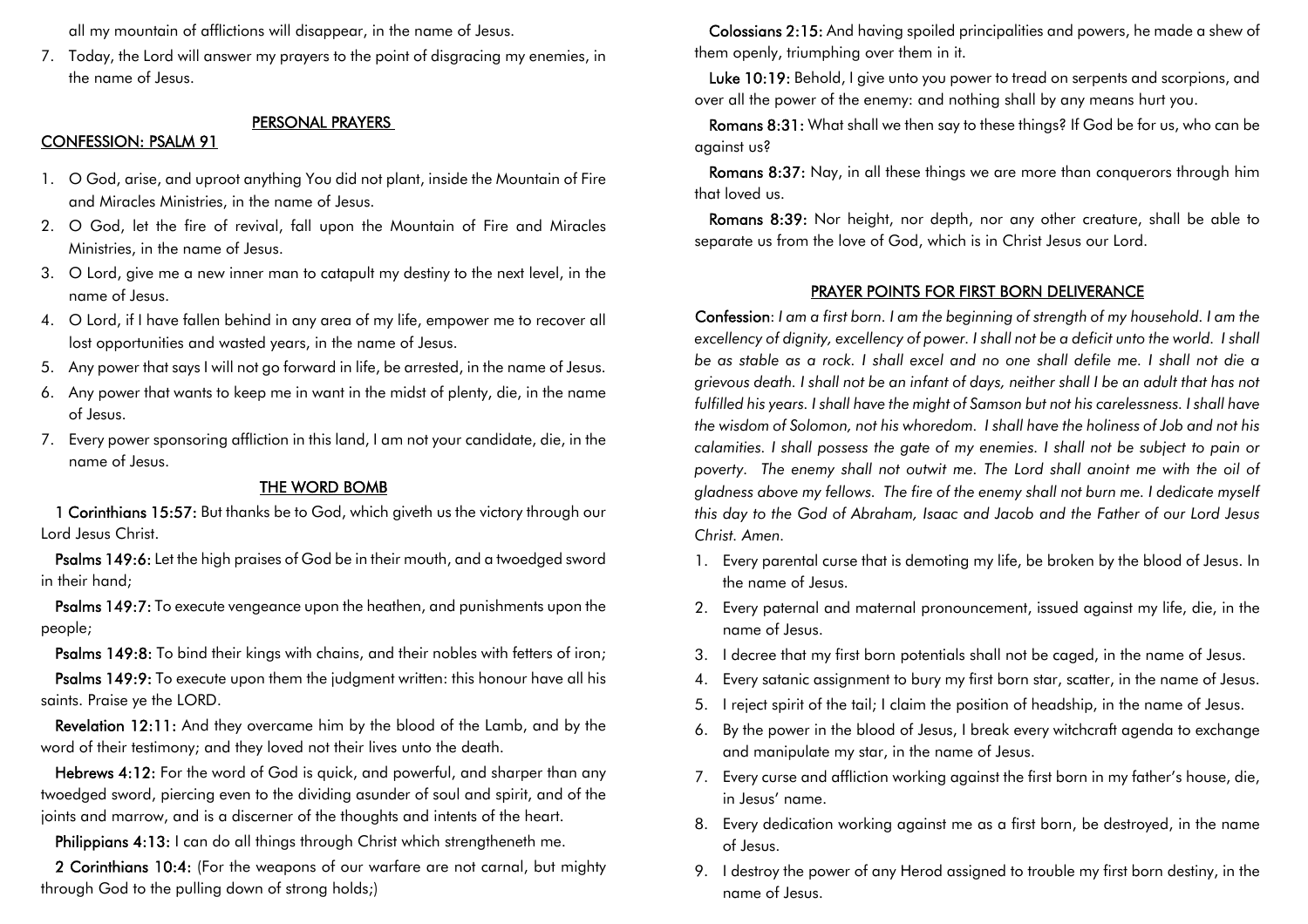all my mountain of afflictions will disappear, in the name of Jesus.

7. Today, the Lord will answer my prayers to the point of disgracing my enemies, in the name of Jesus.

#### PERSONAL PRAYERS

#### CONFESSION: PSALM 91

- 1. O God, arise, and uproot anything You did not plant, inside the Mountain of Fire and Miracles Ministries, in the name of Jesus.
- 2. O God, let the fire of revival, fall upon the Mountain of Fire and Miracles Ministries, in the name of Jesus.
- 3. O Lord, give me a new inner man to catapult my destiny to the next level, in the name of Jesus.
- 4. O Lord, if I have fallen behind in any area of my life, empower me to recover all lost opportunities and wasted years, in the name of Jesus.
- 5. Any power that says I will not go forward in life, be arrested, in the name of Jesus.
- 6. Any power that wants to keep me in want in the midst of plenty, die, in the name of Jesus.
- 7. Every power sponsoring affliction in this land, I am not your candidate, die, in the name of Jesus.

#### THE WORD BOMB

1 Corinthians 15:57: But thanks be to God, which giveth us the victory through ourLord Jesus Christ.

Psalms 149:6: Let the high praises of God be in their mouth, and a twoedged swordin their hand;

Psalms 149:7: To execute vengeance upon the heathen, and punishments upon thepeople;

Psalms 149:8: To bind their kings with chains, and their nobles with fetters of iron;

Psalms 149:9: To execute upon them the judgment written: this honour have all his saints. Praise ye the LORD.

Revelation 12:11: And they overcame him by the blood of the Lamb, and by theword of their testimony; and they loved not their lives unto the death.

Hebrews 4:12: For the word of God is quick, and powerful, and sharper than any twoedged sword, piercing even to the dividing asunder of soul and spirit, and of thejoints and marrow, and is a discerner of the thoughts and intents of the heart.

Philippians 4:13: I can do all things through Christ which strengtheneth me.

2 Corinthians 10:4: (For the weapons of our warfare are not carnal, but mightythrough God to the pulling down of strong holds;)

Colossians 2:15: And having spoiled principalities and powers, he made a shew ofthem openly, triumphing over them in it.

Luke 10:19: Behold, I give unto you power to tread on serpents and scorpions, andover all the power of the enemy: and nothing shall by any means hurt you.

Romans 8:31: What shall we then say to these things? If God be for us, who can beagainst us?

Romans 8:37: Nay, in all these things we are more than conquerors through himthat loved us.

Romans 8:39: Nor height, nor depth, nor any other creature, shall be able toseparate us from the love of God, which is in Christ Jesus our Lord.

#### PRAYER POINTS FOR FIRST BORN DELIVERANCE

 Confession: *I am a first born. I am the beginning of strength of my household. I am the excellency of dignity, excellency of power. I shall not be a deficit unto the world. I shallbe as stable as a rock. I shall excel and no one shall defile me. I shall not die a grievous death. I shall not be an infant of days, neither shall I be an adult that has notfulfilled his years. I shall have the might of Samson but not his carelessness. I shall have the wisdom of Solomon, not his whoredom. I shall have the holiness of Job and not his calamities. I shall possess the gate of my enemies. I shall not be subject to pain or poverty. The enemy shall not outwit me. The Lord shall anoint me with the oil ofgladness above my fellows. The fire of the enemy shall not burn me. I dedicate myselfthis day to the God of Abraham, Isaac and Jacob and the Father of our Lord JesusChrist. Amen.*

- 1. Every parental curse that is demoting my life, be broken by the blood of Jesus. In the name of Jesus.
- 2. Every paternal and maternal pronouncement, issued against my life, die, in the name of Jesus.
- 3. I decree that my first born potentials shall not be caged, in the name of Jesus.
- 4. Every satanic assignment to bury my first born star, scatter, in the name of Jesus.
- 5. I reject spirit of the tail; I claim the position of headship, in the name of Jesus.
- 6. By the power in the blood of Jesus, I break every witchcraft agenda to exchange and manipulate my star, in the name of Jesus.
- 7. Every curse and affliction working against the first born in my father's house, die, in Jesus' name.
- 8. Every dedication working against me as a first born, be destroyed, in the name of Jesus.
- 9. I destroy the power of any Herod assigned to trouble my first born destiny, in the name of Jesus.